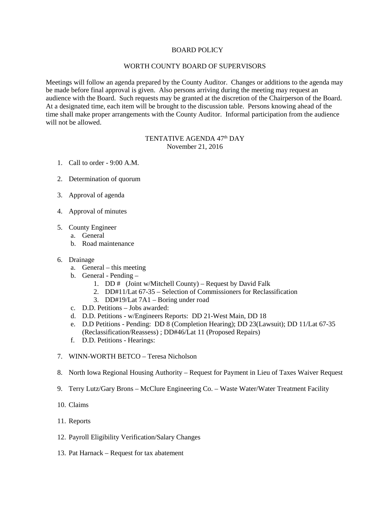## BOARD POLICY

## WORTH COUNTY BOARD OF SUPERVISORS

Meetings will follow an agenda prepared by the County Auditor. Changes or additions to the agenda may be made before final approval is given. Also persons arriving during the meeting may request an audience with the Board. Such requests may be granted at the discretion of the Chairperson of the Board. At a designated time, each item will be brought to the discussion table. Persons knowing ahead of the time shall make proper arrangements with the County Auditor. Informal participation from the audience will not be allowed.

# TENTATIVE AGENDA 47<sup>th</sup> DAY November 21, 2016

- 1. Call to order 9:00 A.M.
- 2. Determination of quorum
- 3. Approval of agenda
- 4. Approval of minutes
- 5. County Engineer
	- a. General
	- b. Road maintenance
- 6. Drainage
	- a. General this meeting
	- b. General Pending
		- 1. DD  $#$  (Joint w/Mitchell County) Request by David Falk
		- 2. DD#11/Lat 67-35 Selection of Commissioners for Reclassification
		- 3. DD#19/Lat 7A1 Boring under road
	- c. D.D. Petitions Jobs awarded:
	- d. D.D. Petitions w/Engineers Reports: DD 21-West Main, DD 18
	- e. D.D Petitions Pending: DD 8 (Completion Hearing); DD 23(Lawsuit); DD 11/Lat 67-35 (Reclassification/Reassess) ; DD#46/Lat 11 (Proposed Repairs)
	- f. D.D. Petitions Hearings:
- 7. WINN-WORTH BETCO Teresa Nicholson
- 8. North Iowa Regional Housing Authority Request for Payment in Lieu of Taxes Waiver Request
- 9. Terry Lutz/Gary Brons McClure Engineering Co. Waste Water/Water Treatment Facility
- 10. Claims
- 11. Reports
- 12. Payroll Eligibility Verification/Salary Changes
- 13. Pat Harnack Request for tax abatement